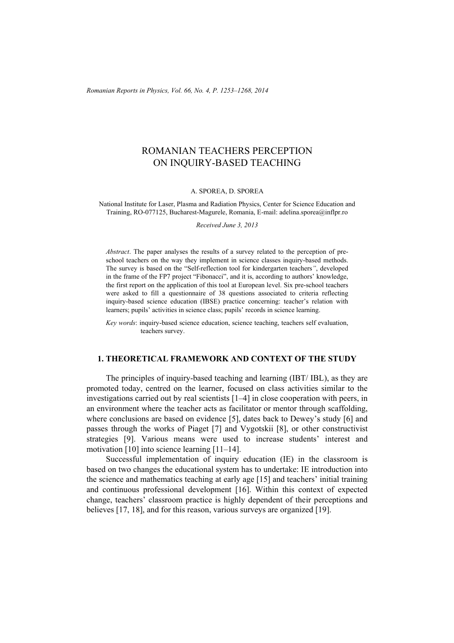*Romanian Reports in Physics, Vol. 66, No. 4, P. 1253–1268, 2014*

# ROMANIAN TEACHERS PERCEPTION ON INQUIRY-BASED TEACHING

#### A. SPOREA, D. SPOREA

National Institute for Laser, Plasma and Radiation Physics, Center for Science Education and Training, RO-077125, Bucharest-Magurele, Romania, E-mail: adelina.sporea@inflpr.ro

*Received June 3, 2013* 

*Abstract*. The paper analyses the results of a survey related to the perception of preschool teachers on the way they implement in science classes inquiry-based methods. The survey is based on the "Self-reflection tool for kindergarten teachers*"*, developed in the frame of the FP7 project "Fibonacci", and it is, according to authors' knowledge, the first report on the application of this tool at European level. Six pre-school teachers were asked to fill a questionnaire of 38 questions associated to criteria reflecting inquiry-based science education (IBSE) practice concerning: teacher's relation with learners; pupils' activities in science class; pupils' records in science learning.

*Key words*: inquiry-based science education, science teaching, teachers self evaluation, teachers survey.

# **1. THEORETICAL FRAMEWORK AND CONTEXT OF THE STUDY**

The principles of inquiry-based teaching and learning (IBT/ IBL), as they are promoted today, centred on the learner, focused on class activities similar to the investigations carried out by real scientists [1–4] in close cooperation with peers, in an environment where the teacher acts as facilitator or mentor through scaffolding, where conclusions are based on evidence [5], dates back to Dewey's study [6] and passes through the works of Piaget [7] and Vygotskii [8], or other constructivist strategies [9]. Various means were used to increase students' interest and motivation [10] into science learning [11–14].

Successful implementation of inquiry education (IE) in the classroom is based on two changes the educational system has to undertake: IE introduction into the science and mathematics teaching at early age [15] and teachers' initial training and continuous professional development [16]. Within this context of expected change, teachers' classroom practice is highly dependent of their perceptions and believes [17, 18], and for this reason, various surveys are organized [19].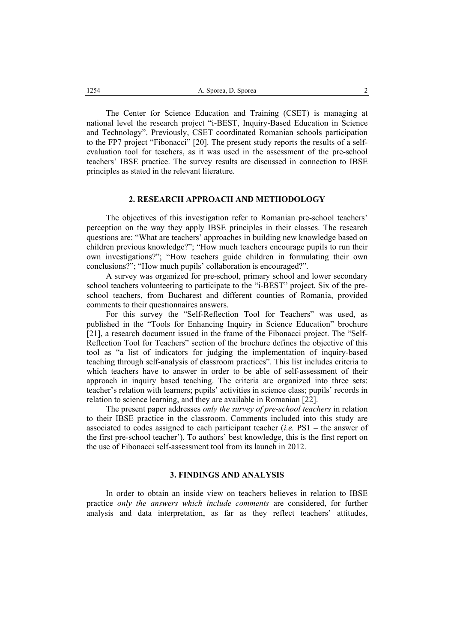The Center for Science Education and Training (CSET) is managing at national level the research project "i-BEST, Inquiry-Based Education in Science and Technology". Previously, CSET coordinated Romanian schools participation to the FP7 project "Fibonacci" [20]. The present study reports the results of a selfevaluation tool for teachers, as it was used in the assessment of the pre-school teachers' IBSE practice. The survey results are discussed in connection to IBSE principles as stated in the relevant literature.

### **2. RESEARCH APPROACH AND METHODOLOGY**

The objectives of this investigation refer to Romanian pre-school teachers' perception on the way they apply IBSE principles in their classes. The research questions are: "What are teachers' approaches in building new knowledge based on children previous knowledge?"; "How much teachers encourage pupils to run their own investigations?"; "How teachers guide children in formulating their own conclusions?"; "How much pupils' collaboration is encouraged?".

A survey was organized for pre-school, primary school and lower secondary school teachers volunteering to participate to the "i-BEST" project. Six of the preschool teachers, from Bucharest and different counties of Romania, provided comments to their questionnaires answers.

 For this survey the "Self-Reflection Tool for Teachers" was used, as published in the "Tools for Enhancing Inquiry in Science Education" brochure [21], a research document issued in the frame of the Fibonacci project. The "Self-Reflection Tool for Teachers" section of the brochure defines the objective of this tool as "a list of indicators for judging the implementation of inquiry-based teaching through self-analysis of classroom practices". This list includes criteria to which teachers have to answer in order to be able of self-assessment of their approach in inquiry based teaching. The criteria are organized into three sets: teacher's relation with learners; pupils' activities in science class; pupils' records in relation to science learning, and they are available in Romanian [22].

The present paper addresses *only the survey of pre-school teachers* in relation to their IBSE practice in the classroom. Comments included into this study are associated to codes assigned to each participant teacher (*i.e.* PS1 – the answer of the first pre-school teacher'). To authors' best knowledge, this is the first report on the use of Fibonacci self-assessment tool from its launch in 2012.

# **3. FINDINGS AND ANALYSIS**

In order to obtain an inside view on teachers believes in relation to IBSE practice *only the answers which include comments* are considered, for further analysis and data interpretation, as far as they reflect teachers' attitudes,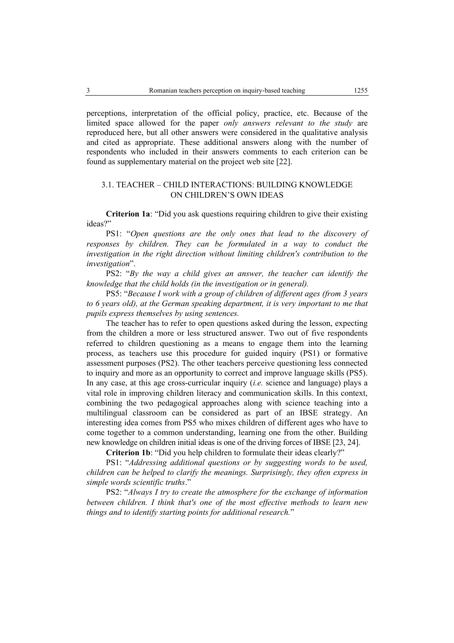perceptions, interpretation of the official policy, practice, etc. Because of the limited space allowed for the paper *only answers relevant to the study* are reproduced here, but all other answers were considered in the qualitative analysis and cited as appropriate. These additional answers along with the number of respondents who included in their answers comments to each criterion can be found as supplementary material on the project web site [22].

# 3.1. TEACHER – CHILD INTERACTIONS: BUILDING KNOWLEDGE ON CHILDREN'S OWN IDEAS

 **Criterion 1a**: "Did you ask questions requiring children to give their existing ideas?"

PS1: "Open questions are the only ones that lead to the discovery of responses by children. They can be formulated in a way to conduct the *investigation in the right direction without limiting children's contribution to the investigation*".

 PS2: "*By the way a child gives an answer, the teacher can identify the knowledge that the child holds (in the investigation or in general).* 

PS5: "*Because I work with a group of children of different ages (from 3 years to 6 years old), at the German speaking department, it is very important to me that pupils express themselves by using sentences.* 

The teacher has to refer to open questions asked during the lesson, expecting from the children a more or less structured answer. Two out of five respondents referred to children questioning as a means to engage them into the learning process, as teachers use this procedure for guided inquiry (PS1) or formative assessment purposes (PS2). The other teachers perceive questioning less connected to inquiry and more as an opportunity to correct and improve language skills (PS5). In any case, at this age cross-curricular inquiry (*i.e.* science and language) plays a vital role in improving children literacy and communication skills. In this context, combining the two pedagogical approaches along with science teaching into a multilingual classroom can be considered as part of an IBSE strategy. An interesting idea comes from PS5 who mixes children of different ages who have to come together to a common understanding, learning one from the other. Building new knowledge on children initial ideas is one of the driving forces of IBSE [23, 24].

 **Criterion 1b**: "Did you help children to formulate their ideas clearly?"

 PS1: "*Addressing additional questions or by suggesting words to be used, children can be helped to clarify the meanings. Surprisingly, they often express in simple words scientific truths*."

 PS2: "*Always I try to create the atmosphere for the exchange of information between children. I think that's one of the most effective methods to learn new things and to identify starting points for additional research.*"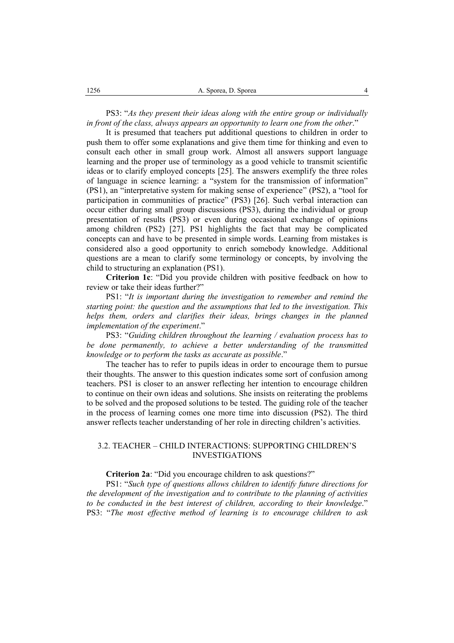PS3: "*As they present their ideas along with the entire group or individually in front of the class, always appears an opportunity to learn one from the other*."

 It is presumed that teachers put additional questions to children in order to push them to offer some explanations and give them time for thinking and even to consult each other in small group work. Almost all answers support language learning and the proper use of terminology as a good vehicle to transmit scientific ideas or to clarify employed concepts [25]. The answers exemplify the three roles of language in science learning: a "system for the transmission of information" (PS1), an "interpretative system for making sense of experience" (PS2), a "tool for participation in communities of practice" (PS3) [26]. Such verbal interaction can occur either during small group discussions (PS3), during the individual or group presentation of results (PS3) or even during occasional exchange of opinions among children (PS2) [27]. PS1 highlights the fact that may be complicated concepts can and have to be presented in simple words. Learning from mistakes is considered also a good opportunity to enrich somebody knowledge. Additional questions are a mean to clarify some terminology or concepts, by involving the child to structuring an explanation (PS1).

 **Criterion 1c**: "Did you provide children with positive feedback on how to review or take their ideas further?"

 PS1: "*It is important during the investigation to remember and remind the starting point: the question and the assumptions that led to the investigation. This helps them, orders and clarifies their ideas, brings changes in the planned implementation of the experiment*."

 PS3: "*Guiding children throughout the learning / evaluation process has to be done permanently, to achieve a better understanding of the transmitted knowledge or to perform the tasks as accurate as possible*."

 The teacher has to refer to pupils ideas in order to encourage them to pursue their thoughts. The answer to this question indicates some sort of confusion among teachers. PS1 is closer to an answer reflecting her intention to encourage children to continue on their own ideas and solutions. She insists on reiterating the problems to be solved and the proposed solutions to be tested. The guiding role of the teacher in the process of learning comes one more time into discussion (PS2). The third answer reflects teacher understanding of her role in directing children's activities.

# 3.2. TEACHER – CHILD INTERACTIONS: SUPPORTING CHILDREN'S INVESTIGATIONS

#### **Criterion 2a**: "Did you encourage children to ask questions?"

 PS1: "*Such type of questions allows children to identify future directions for the development of the investigation and to contribute to the planning of activities to be conducted in the best interest of children, according to their knowledge*." PS3: "*The most effective method of learning is to encourage children to ask*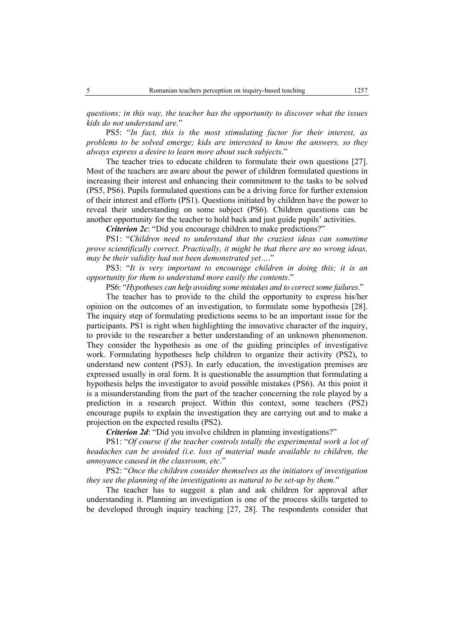*questions; in this way, the teacher has the opportunity to discover what the issues kids do not understand are*."

 PS5: "*In fact, this is the most stimulating factor for their interest, as problems to be solved emerge; kids are interested to know the answers, so they always express a desire to learn more about such subjects*."

The teacher tries to educate children to formulate their own questions [27]. Most of the teachers are aware about the power of children formulated questions in increasing their interest and enhancing their commitment to the tasks to be solved (PS5, PS6). Pupils formulated questions can be a driving force for further extension of their interest and efforts (PS1). Questions initiated by children have the power to reveal their understanding on some subject (PS6). Children questions can be another opportunity for the teacher to hold back and just guide pupils' activities.

*Criterion 2c*: "Did you encourage children to make predictions?"

 PS1: "*Children need to understand that the craziest ideas can sometime prove scientifically correct. Practically, it might be that there are no wrong ideas, may be their validity had not been demonstrated yet…*."

 PS3: "*It is very important to encourage children in doing this; it is an opportunity for them to understand more easily the contents*."

PS6: "*Hypotheses can help avoiding some mistakes and to correct some failures*."

The teacher has to provide to the child the opportunity to express his/her opinion on the outcomes of an investigation, to formulate some hypothesis [28]. The inquiry step of formulating predictions seems to be an important issue for the participants. PS1 is right when highlighting the innovative character of the inquiry, to provide to the researcher a better understanding of an unknown phenomenon. They consider the hypothesis as one of the guiding principles of investigative work. Formulating hypotheses help children to organize their activity (PS2), to understand new content (PS3). In early education, the investigation premises are expressed usually in oral form. It is questionable the assumption that formulating a hypothesis helps the investigator to avoid possible mistakes (PS6). At this point it is a misunderstanding from the part of the teacher concerning the role played by a prediction in a research project. Within this context, some teachers (PS2) encourage pupils to explain the investigation they are carrying out and to make a projection on the expected results (PS2).

*Criterion 2d: "Did you involve children in planning investigations?"* 

PS1: "Of course if the teacher controls totally the experimental work a lot of *headaches can be avoided (i.e. loss of material made available to children, the annoyance caused in the classroom, etc*."

 PS2: "*Once the children consider themselves as the initiators of investigation they see the planning of the investigations as natural to be set-up by them.*"

The teacher has to suggest a plan and ask children for approval after understanding it. Planning an investigation is one of the process skills targeted to be developed through inquiry teaching [27, 28]. The respondents consider that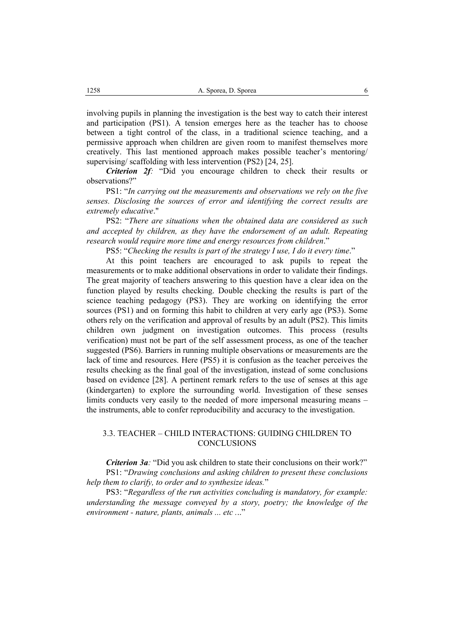involving pupils in planning the investigation is the best way to catch their interest and participation (PS1). A tension emerges here as the teacher has to choose between a tight control of the class, in a traditional science teaching, and a permissive approach when children are given room to manifest themselves more creatively. This last mentioned approach makes possible teacher's mentoring/ supervising/ scaffolding with less intervention (PS2) [24, 25].

*Criterion 2f:* "Did you encourage children to check their results or observations?"

 PS1: "*In carrying out the measurements and observations we rely on the five senses. Disclosing the sources of error and identifying the correct results are extremely educative*."

 PS2: "*There are situations when the obtained data are considered as such and accepted by children, as they have the endorsement of an adult. Repeating research would require more time and energy resources from children*."

PS5: "Checking the results is part of the strategy I use, I do it every time."

At this point teachers are encouraged to ask pupils to repeat the measurements or to make additional observations in order to validate their findings. The great majority of teachers answering to this question have a clear idea on the function played by results checking. Double checking the results is part of the science teaching pedagogy (PS3). They are working on identifying the error sources (PS1) and on forming this habit to children at very early age (PS3). Some others rely on the verification and approval of results by an adult (PS2). This limits children own judgment on investigation outcomes. This process (results verification) must not be part of the self assessment process, as one of the teacher suggested (PS6). Barriers in running multiple observations or measurements are the lack of time and resources. Here (PS5) it is confusion as the teacher perceives the results checking as the final goal of the investigation, instead of some conclusions based on evidence [28]. A pertinent remark refers to the use of senses at this age (kindergarten) to explore the surrounding world. Investigation of these senses limits conducts very easily to the needed of more impersonal measuring means – the instruments, able to confer reproducibility and accuracy to the investigation.

# 3.3. TEACHER – CHILD INTERACTIONS: GUIDING CHILDREN TO **CONCLUSIONS**

*Criterion 3a*: "Did you ask children to state their conclusions on their work?" PS1: "*Drawing conclusions and asking children to present these conclusions help them to clarify, to order and to synthesize ideas.*"

 PS3: "*Regardless of the run activities concluding is mandatory, for example: understanding the message conveyed by a story, poetry; the knowledge of the environment - nature, plants, animals ... etc .*.."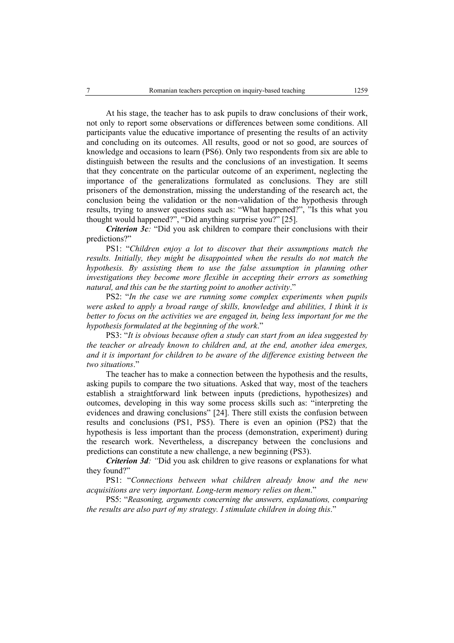At his stage, the teacher has to ask pupils to draw conclusions of their work, not only to report some observations or differences between some conditions. All participants value the educative importance of presenting the results of an activity and concluding on its outcomes. All results, good or not so good, are sources of knowledge and occasions to learn (PS6). Only two respondents from six are able to distinguish between the results and the conclusions of an investigation. It seems that they concentrate on the particular outcome of an experiment, neglecting the importance of the generalizations formulated as conclusions. They are still prisoners of the demonstration, missing the understanding of the research act, the conclusion being the validation or the non-validation of the hypothesis through results, trying to answer questions such as: "What happened?", "Is this what you thought would happened?", "Did anything surprise you?" [25].

*Criterion 3c*: "Did you ask children to compare their conclusions with their predictions?"

 PS1: "*Children enjoy a lot to discover that their assumptions match the*  results. Initially, they might be disappointed when the results do not match the *hypothesis. By assisting them to use the false assumption in planning other investigations they become more flexible in accepting their errors as something natural, and this can be the starting point to another activity*."

 PS2: "*In the case we are running some complex experiments when pupils were asked to apply a broad range of skills, knowledge and abilities, I think it is better to focus on the activities we are engaged in, being less important for me the hypothesis formulated at the beginning of the work*."

 PS3: "*It is obvious because often a study can start from an idea suggested by the teacher or already known to children and, at the end, another idea emerges, and it is important for children to be aware of the difference existing between the two situations*."

The teacher has to make a connection between the hypothesis and the results, asking pupils to compare the two situations. Asked that way, most of the teachers establish a straightforward link between inputs (predictions, hypothesizes) and outcomes, developing in this way some process skills such as: "interpreting the evidences and drawing conclusions" [24]. There still exists the confusion between results and conclusions (PS1, PS5). There is even an opinion (PS2) that the hypothesis is less important than the process (demonstration, experiment) during the research work. Nevertheless, a discrepancy between the conclusions and predictions can constitute a new challenge, a new beginning (PS3).

*Criterion 3d:* "Did you ask children to give reasons or explanations for what they found?"

PS1: "*Connections between what children already know and the new acquisitions are very important. Long-term memory relies on them*."

PS5: "*Reasoning, arguments concerning the answers, explanations, comparing the results are also part of my strategy. I stimulate children in doing this*."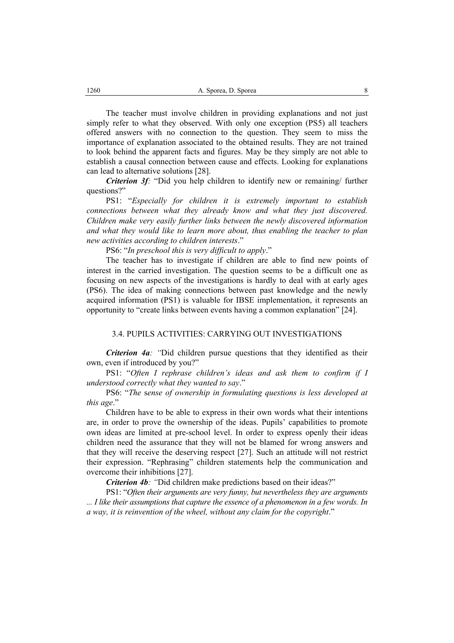The teacher must involve children in providing explanations and not just simply refer to what they observed. With only one exception (PS5) all teachers offered answers with no connection to the question. They seem to miss the importance of explanation associated to the obtained results. They are not trained to look behind the apparent facts and figures. May be they simply are not able to establish a causal connection between cause and effects. Looking for explanations can lead to alternative solutions [28].

*Criterion 3f:* "Did you help children to identify new or remaining/ further questions?"

PS1: "*Especially for children it is extremely important to establish connections between what they already know and what they just discovered. Children make very easily further links between the newly discovered information and what they would like to learn more about, thus enabling the teacher to plan new activities according to children interests*."

PS6: "*In preschool this is very difficult to apply*."

The teacher has to investigate if children are able to find new points of interest in the carried investigation. The question seems to be a difficult one as focusing on new aspects of the investigations is hardly to deal with at early ages (PS6). The idea of making connections between past knowledge and the newly acquired information (PS1) is valuable for IBSE implementation, it represents an opportunity to "create links between events having a common explanation" [24].

#### 3.4. PUPILS ACTIVITIES: CARRYING OUT INVESTIGATIONS

*Criterion 4a*: "Did children pursue questions that they identified as their own, even if introduced by you?"

PS1: "*Often I rephrase children's ideas and ask them to confirm if I understood correctly what they wanted to say*."

PS6: "*The* s*ense of ownership in formulating questions is less developed at this age*."

Children have to be able to express in their own words what their intentions are, in order to prove the ownership of the ideas. Pupils' capabilities to promote own ideas are limited at pre-school level. In order to express openly their ideas children need the assurance that they will not be blamed for wrong answers and that they will receive the deserving respect [27]. Such an attitude will not restrict their expression. "Rephrasing" children statements help the communication and overcome their inhibitions [27].

*Criterion 4b*: "Did children make predictions based on their ideas?"

PS1: "*Often their arguments are very funny, but nevertheless they are arguments ... I like their assumptions that capture the essence of a phenomenon in a few words. In a way, it is reinvention of the wheel, without any claim for the copyright*."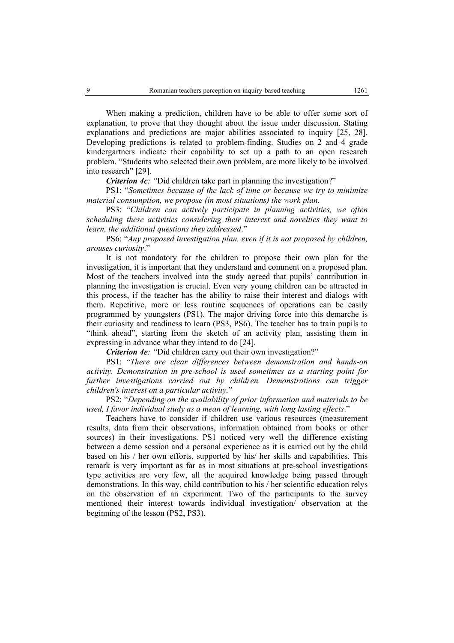When making a prediction, children have to be able to offer some sort of explanation, to prove that they thought about the issue under discussion. Stating explanations and predictions are major abilities associated to inquiry [25, 28]. Developing predictions is related to problem-finding. Studies on 2 and 4 grade kindergartners indicate their capability to set up a path to an open research problem. "Students who selected their own problem, are more likely to be involved into research" [29].

*Criterion 4c: "*Did children take part in planning the investigation?"

PS1: "*Sometimes because of the lack of time or because we try to minimize material consumption, we propose (in most situations) the work plan.* 

PS3: "Children can actively participate in planning activities, we often *scheduling these activities considering their interest and novelties they want to learn, the additional questions they addressed*."

PS6: "*Any proposed investigation plan, even if it is not proposed by children, arouses curiosity*."

It is not mandatory for the children to propose their own plan for the investigation, it is important that they understand and comment on a proposed plan. Most of the teachers involved into the study agreed that pupils' contribution in planning the investigation is crucial. Even very young children can be attracted in this process, if the teacher has the ability to raise their interest and dialogs with them. Repetitive, more or less routine sequences of operations can be easily programmed by youngsters (PS1). The major driving force into this demarche is their curiosity and readiness to learn (PS3, PS6). The teacher has to train pupils to "think ahead", starting from the sketch of an activity plan, assisting them in expressing in advance what they intend to do [24].

*Criterion 4e: "*Did children carry out their own investigation?"

PS1: "*There are clear differences between demonstration and hands-on activity. Demonstration in pre-school is used sometimes as a starting point for further investigations carried out by children. Demonstrations can trigger children's interest on a particular activity.*"

PS2: "*Depending on the availability of prior information and materials to be used, I favor individual study as a mean of learning, with long lasting effects*."

Teachers have to consider if children use various resources (measurement results, data from their observations, information obtained from books or other sources) in their investigations. PS1 noticed very well the difference existing between a demo session and a personal experience as it is carried out by the child based on his / her own efforts, supported by his/ her skills and capabilities. This remark is very important as far as in most situations at pre-school investigations type activities are very few, all the acquired knowledge being passed through demonstrations. In this way, child contribution to his / her scientific education relys on the observation of an experiment. Two of the participants to the survey mentioned their interest towards individual investigation/ observation at the beginning of the lesson (PS2, PS3).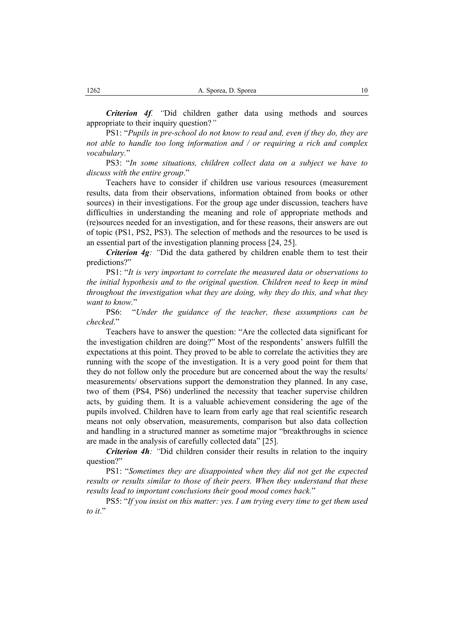*Criterion 4f. "*Did children gather data using methods and sources appropriate to their inquiry question?*"* 

PS1: "*Pupils in pre-school do not know to read and, even if they do, they are not able to handle too long information and / or requiring a rich and complex vocabulary.*"

PS3: "*In some situations, children collect data on a subject we have to discuss with the entire group*."

Teachers have to consider if children use various resources (measurement results, data from their observations, information obtained from books or other sources) in their investigations. For the group age under discussion, teachers have difficulties in understanding the meaning and role of appropriate methods and (re)sources needed for an investigation, and for these reasons, their answers are out of topic (PS1, PS2, PS3). The selection of methods and the resources to be used is an essential part of the investigation planning process [24, 25].

*Criterion 4g*: "Did the data gathered by children enable them to test their predictions?"

PS1: "*It is very important to correlate the measured data or observations to the initial hypothesis and to the original question. Children need to keep in mind throughout the investigation what they are doing, why they do this, and what they want to know.*"

PS6: "*Under the guidance of the teacher, these assumptions can be checked*."

Teachers have to answer the question: "Are the collected data significant for the investigation children are doing?" Most of the respondents' answers fulfill the expectations at this point. They proved to be able to correlate the activities they are running with the scope of the investigation. It is a very good point for them that they do not follow only the procedure but are concerned about the way the results/ measurements/ observations support the demonstration they planned. In any case, two of them (PS4, PS6) underlined the necessity that teacher supervise children acts, by guiding them. It is a valuable achievement considering the age of the pupils involved. Children have to learn from early age that real scientific research means not only observation, measurements, comparison but also data collection and handling in a structured manner as sometime major "breakthroughs in science are made in the analysis of carefully collected data" [25].

*Criterion 4h: "*Did children consider their results in relation to the inquiry question?"

PS1: "*Sometimes they are disappointed when they did not get the expected results or results similar to those of their peers. When they understand that these results lead to important conclusions their good mood comes back.*"

PS5: "*If you insist on this matter: yes. I am trying every time to get them used to it*."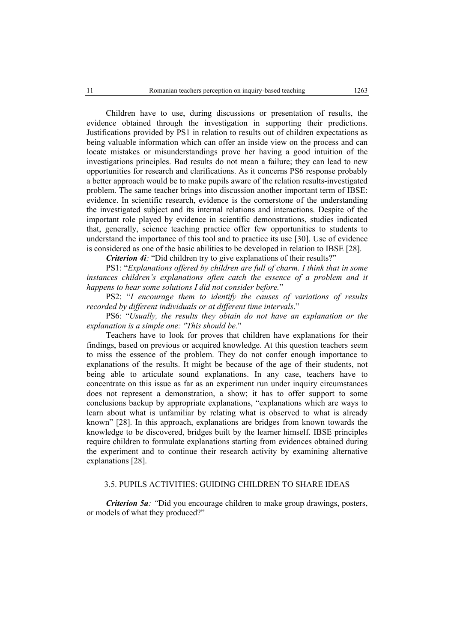Children have to use, during discussions or presentation of results, the evidence obtained through the investigation in supporting their predictions. Justifications provided by PS1 in relation to results out of children expectations as being valuable information which can offer an inside view on the process and can locate mistakes or misunderstandings prove her having a good intuition of the investigations principles. Bad results do not mean a failure; they can lead to new opportunities for research and clarifications. As it concerns PS6 response probably a better approach would be to make pupils aware of the relation results-investigated problem. The same teacher brings into discussion another important term of IBSE: evidence. In scientific research, evidence is the cornerstone of the understanding the investigated subject and its internal relations and interactions. Despite of the important role played by evidence in scientific demonstrations, studies indicated that, generally, science teaching practice offer few opportunities to students to understand the importance of this tool and to practice its use [30]. Use of evidence is considered as one of the basic abilities to be developed in relation to IBSE [28].

*Criterion 4i*: "Did children try to give explanations of their results?"

PS1: "*Explanations offered by children are full of charm. I think that in some*  instances children's explanations often catch the essence of a problem and it *happens to hear some solutions I did not consider before.*"

PS2: "*I encourage them to identify the causes of variations of results recorded by different individuals or at different time intervals*."

PS6: "*Usually, the results they obtain do not have an explanation or the explanation is a simple one: "This should be.*"

 Teachers have to look for proves that children have explanations for their findings, based on previous or acquired knowledge. At this question teachers seem to miss the essence of the problem. They do not confer enough importance to explanations of the results. It might be because of the age of their students, not being able to articulate sound explanations. In any case, teachers have to concentrate on this issue as far as an experiment run under inquiry circumstances does not represent a demonstration, a show; it has to offer support to some conclusions backup by appropriate explanations, "explanations which are ways to learn about what is unfamiliar by relating what is observed to what is already known" [28]. In this approach, explanations are bridges from known towards the knowledge to be discovered, bridges built by the learner himself. IBSE principles require children to formulate explanations starting from evidences obtained during the experiment and to continue their research activity by examining alternative explanations [28].

### 3.5. PUPILS ACTIVITIES: GUIDING CHILDREN TO SHARE IDEAS

*Criterion 5a*: "Did you encourage children to make group drawings, posters, or models of what they produced?"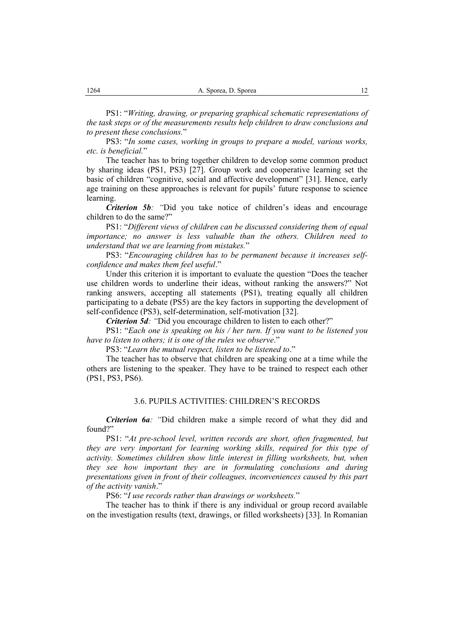PS1: "*Writing, drawing, or preparing graphical schematic representations of the task steps or of the measurements results help children to draw conclusions and to present these conclusions.*"

PS3: "*In some cases, working in groups to prepare a model, various works, etc. is beneficial.*"

The teacher has to bring together children to develop some common product by sharing ideas (PS1, PS3) [27]. Group work and cooperative learning set the basic of children "cognitive, social and affective development" [31]. Hence, early age training on these approaches is relevant for pupils' future response to science learning.

*Criterion 5b: "*Did you take notice of children's ideas and encourage children to do the same?"

PS1: "*Different views of children can be discussed considering them of equal importance; no answer is less valuable than the others. Children need to understand that we are learning from mistakes.*"

PS3: "*Encouraging children has to be permanent because it increases selfconfidence and makes them feel useful*."

Under this criterion it is important to evaluate the question "Does the teacher use children words to underline their ideas, without ranking the answers?" Not ranking answers, accepting all statements (PS1), treating equally all children participating to a debate (PS5) are the key factors in supporting the development of self-confidence (PS3), self-determination, self-motivation [32].

*Criterion 5d:* "Did you encourage children to listen to each other?"

PS1: "*Each one is speaking on his / her turn. If you want to be listened you have to listen to others; it is one of the rules we observe*."

PS3: "*Learn the mutual respect, listen to be listened to*."

The teacher has to observe that children are speaking one at a time while the others are listening to the speaker. They have to be trained to respect each other (PS1, PS3, PS6).

### 3.6. PUPILS ACTIVITIES: CHILDREN'S RECORDS

*Criterion 6a*: "Did children make a simple record of what they did and found?"

PS1: "*At pre-school level, written records are short, often fragmented, but they are very important for learning working skills, required for this type of activity. Sometimes children show little interest in filling worksheets, but, when they see how important they are in formulating conclusions and during presentations given in front of their colleagues, inconveniences caused by this part of the activity vanish*."

PS6: "*I use records rather than drawings or worksheets.*"

The teacher has to think if there is any individual or group record available on the investigation results (text, drawings, or filled worksheets) [33]. In Romanian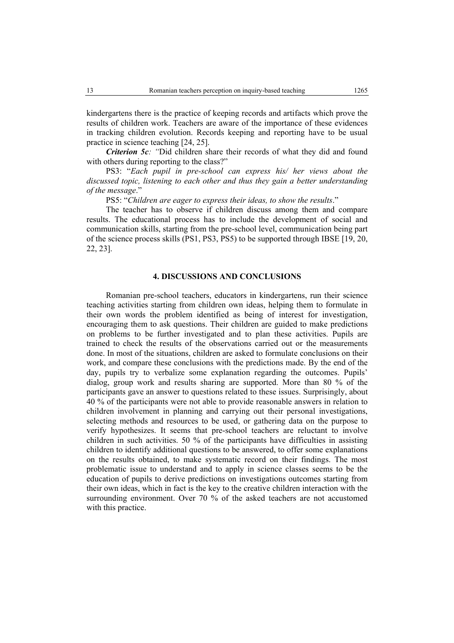kindergartens there is the practice of keeping records and artifacts which prove the results of children work. Teachers are aware of the importance of these evidences in tracking children evolution. Records keeping and reporting have to be usual practice in science teaching [24, 25].

*Criterion 5c:* "Did children share their records of what they did and found with others during reporting to the class?"

PS3: "Each pupil in pre-school can express his/ her views about the *discussed topic, listening to each other and thus they gain a better understanding of the message*."

PS5: "*Children are eager to express their ideas, to show the results*."

The teacher has to observe if children discuss among them and compare results. The educational process has to include the development of social and communication skills, starting from the pre-school level, communication being part of the science process skills (PS1, PS3, PS5) to be supported through IBSE [19, 20, 22, 23].

### **4. DISCUSSIONS AND CONCLUSIONS**

Romanian pre-school teachers, educators in kindergartens, run their science teaching activities starting from children own ideas, helping them to formulate in their own words the problem identified as being of interest for investigation, encouraging them to ask questions. Their children are guided to make predictions on problems to be further investigated and to plan these activities. Pupils are trained to check the results of the observations carried out or the measurements done. In most of the situations, children are asked to formulate conclusions on their work, and compare these conclusions with the predictions made. By the end of the day, pupils try to verbalize some explanation regarding the outcomes. Pupils' dialog, group work and results sharing are supported. More than 80 % of the participants gave an answer to questions related to these issues. Surprisingly, about 40 % of the participants were not able to provide reasonable answers in relation to children involvement in planning and carrying out their personal investigations, selecting methods and resources to be used, or gathering data on the purpose to verify hypothesizes. It seems that pre-school teachers are reluctant to involve children in such activities. 50 % of the participants have difficulties in assisting children to identify additional questions to be answered, to offer some explanations on the results obtained, to make systematic record on their findings. The most problematic issue to understand and to apply in science classes seems to be the education of pupils to derive predictions on investigations outcomes starting from their own ideas, which in fact is the key to the creative children interaction with the surrounding environment. Over 70 % of the asked teachers are not accustomed with this practice.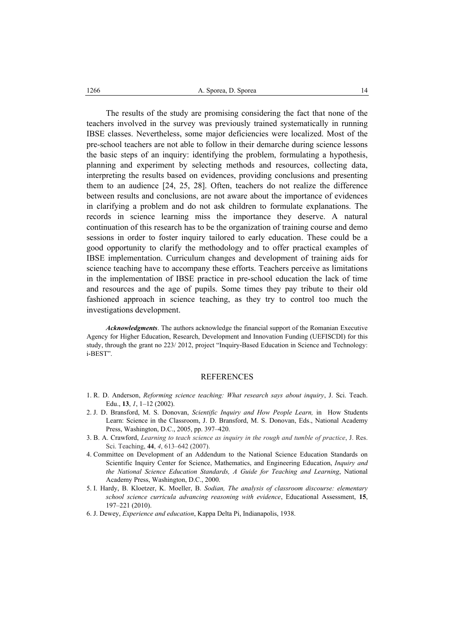The results of the study are promising considering the fact that none of the teachers involved in the survey was previously trained systematically in running IBSE classes. Nevertheless, some major deficiencies were localized. Most of the pre-school teachers are not able to follow in their demarche during science lessons the basic steps of an inquiry: identifying the problem, formulating a hypothesis, planning and experiment by selecting methods and resources, collecting data, interpreting the results based on evidences, providing conclusions and presenting them to an audience [24, 25, 28]. Often, teachers do not realize the difference between results and conclusions, are not aware about the importance of evidences in clarifying a problem and do not ask children to formulate explanations. The records in science learning miss the importance they deserve. A natural continuation of this research has to be the organization of training course and demo sessions in order to foster inquiry tailored to early education. These could be a good opportunity to clarify the methodology and to offer practical examples of IBSE implementation. Curriculum changes and development of training aids for science teaching have to accompany these efforts. Teachers perceive as limitations in the implementation of IBSE practice in pre-school education the lack of time and resources and the age of pupils. Some times they pay tribute to their old fashioned approach in science teaching, as they try to control too much the investigations development.

*Acknowledgments*. The authors acknowledge the financial support of the Romanian Executive Agency for Higher Education, Research, Development and Innovation Funding (UEFISCDI) for this study, through the grant no 223/ 2012, project "Inquiry-Based Education in Science and Technology: i-BEST".

#### REFERENCES

- 1. R. D. Anderson, *Reforming science teaching: What research says about inquiry*, J. Sci. Teach. Edu., **13**, *1*, 1–12 (2002).
- 2. J. D. Bransford, M. S. Donovan, *Scientific Inquiry and How People Learn,* in How Students Learn: Science in the Classroom, J. D. Bransford, M. S. Donovan, Eds., National Academy Press, Washington, D.C., 2005, pp. 397–420.
- 3. B. A. Crawford, *Learning to teach science as inquiry in the rough and tumble of practice*, J. Res. Sci. Teaching, **44**, *4*, 613–642 (2007).
- 4. Committee on Development of an Addendum to the National Science Education Standards on Scientific Inquiry Center for Science, Mathematics, and Engineering Education, *Inquiry and the National Science Education Standards, A Guide for Teaching and Learning*, National Academy Press, Washington, D.C., 2000.
- 5. I. Hardy, B. Kloetzer, K. Moeller, B. *Sodian, The analysis of classroom discourse: elementary school science curricula advancing reasoning with evidence*, Educational Assessment, **15**, 197–221 (2010).
- 6. J. Dewey, *Experience and education*, Kappa Delta Pi, Indianapolis, 1938.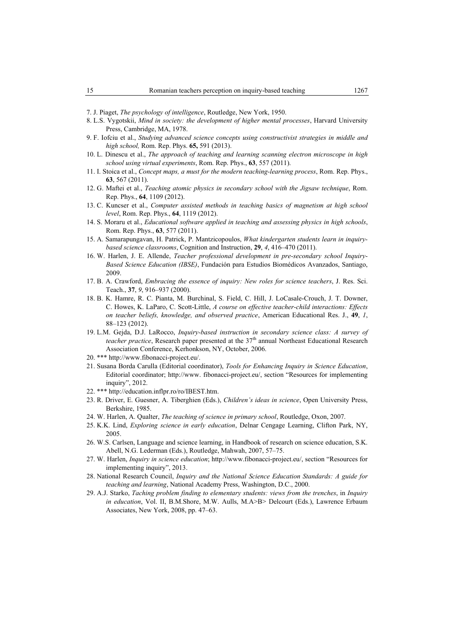- 7. J. Piaget, *The psychology of intelligence*, Routledge, New York, 1950.
- 8. L.S. Vygotskii, *Mind in society: the development of higher mental processes*, Harvard University Press, Cambridge, MA, 1978.
- 9. F. Iofciu et al., *Studying advanced science concepts using constructivist strategies in middle and high school,* Rom. Rep. Phys. **65,** 591 (2013).
- 10. L. Dinescu et al., *The approach of teaching and learning scanning electron microscope in high school using virtual experiments*, Rom. Rep. Phys., **63**, 557 (2011).
- 11. I. Stoica et al., *Concept maps, a must for the modern teaching-learning process*, Rom. Rep. Phys., **63**, 567 (2011).
- 12. G. Maftei et al., *Teaching atomic physics in secondary school with the Jigsaw technique*, Rom. Rep. Phys., **64**, 1109 (2012).
- 13. C. Kuncser et al., *Computer assisted methods in teaching basics of magnetism at high school level*, Rom. Rep. Phys., **64**, 1119 (2012).
- 14. S. Moraru et al., *Educational software applied in teaching and assessing physics in high schools*, Rom. Rep. Phys., **63**, 577 (2011).
- 15. A. Samarapungavan, H. Patrick, P. Mantzicopoulos, *What kindergarten students learn in inquirybased science classrooms*, Cognition and Instruction, **29**, *4*, 416–470 (2011).
- 16. W. Harlen, J. E. Allende, *Teacher professional development in pre-secondary school Inquiry-Based Science Education (IBSE)*, Fundación para Estudios Biomédicos Avanzados, Santiago, 2009.
- 17. B. A. Crawford, *Embracing the essence of inquiry: New roles for science teachers*, J. Res. Sci. Teach., **37**, *9*, 916–937 (2000).
- 18. B. K. Hamre, R. C. Pianta, M. Burchinal, S. Field, C. Hill, J. LoCasale-Crouch, J. T. Downer, C. Howes, K. LaParo, C. Scott-Little, *A course on effective teacher-child interactions: Effects on teacher beliefs, knowledge, and observed practice*, American Educational Res. J., **49**, *1*, 88–123 (2012).
- 19. L.M. Gejda, D.J. LaRocco, *Inquiry-based instruction in secondary science class: A survey of teacher practice*, Research paper presented at the 37<sup>th</sup> annual Northeast Educational Research Association Conference, Kerhonkson, NY, October, 2006.
- 20. \*\*\* http://www.fibonacci-project.eu/.
- 21. Susana Borda Carulla (Editorial coordinator), *Tools for Enhancing Inquiry in Science Education*, Editorial coordinator; http://www. fibonacci-project.eu/, section "Resources for implementing inquiry", 2012.
- 22. \*\*\* http://education.inflpr.ro/ro/IBEST.htm.
- 23. R. Driver, E. Guesner, A. Tiberghien (Eds.), *Children's ideas in science*, Open University Press, Berkshire, 1985.
- 24. W. Harlen, A. Qualter, *The teaching of science in primary school*, Routledge, Oxon, 2007.
- 25. K.K. Lind, *Exploring science in early education*, Delnar Cengage Learning, Clifton Park, NY, 2005.
- 26. W.S. Carlsen, Language and science learning, in Handbook of research on science education, S.K. Abell, N.G. Lederman (Eds.), Routledge, Mahwah, 2007, 57–75.
- 27. W. Harlen, *Inquiry in science education*; http://www.fibonacci-project.eu/, section "Resources for implementing inquiry", 2013.
- 28. National Research Council, *Inquiry and the National Science Education Standards: A guide for teaching and learning*, National Academy Press, Washington, D.C., 2000.
- 29. A.J. Starko, *Taching problem finding to elementary students: views from the trenches*, in *Inquiry in education*, Vol. II, B.M.Shore, M.W. Aulls, M.A>B> Delcourt (Eds.), Lawrence Erbaum Associates, New York, 2008, pp. 47–63.